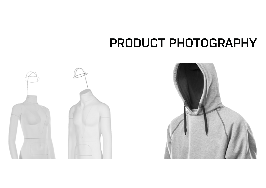# **PRODUCT PHOTOGRAPHY**



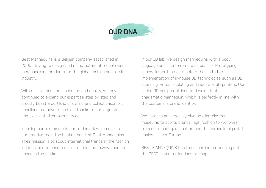

Best Mannequins is a Belgian company established in 2005 striving to design and manufacture affordable visual merchandising products for the global fashion and retail industry.

With a clear focus on innovation and quality, we have continued to expand our expertise step by step and proudly boast a portfolio of own brand collections.Short deadlines are never a problem thanks to our large stock and excellent aftersales service.

Inspiring our customers is our trademark which makes our creative team the beating heart at Best Mannequins. Their mission is to scout international trends in the fashion industry and to ensure our collections are always one step ahead in the market.

In our 3D lab, we design mannequins with a body language as close to real-life as possible.Prototyping is now faster than ever before thanks to the implementation of in-house 3D technologies such as 3D scanning, virtual sculpting and industrial 3D printers. Our skilled 3D sculptor strives to develop that charismatic mannequin, which is perfectly in line with the customer's brand identity.

We cater to an incredibly diverse clientele: from museums to sports brands, high fashion to workwear, from small boutiques just around the corner to big retail chains all over Europe.

BEST MANNEQUINS has the expertise for bringing out the BEST in your collections or shop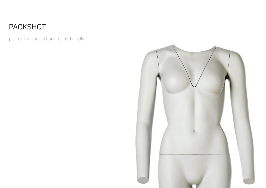### PACKSHOT

perfectly shaped and easy-handling

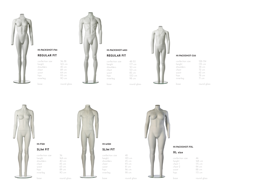

HI-PACKSHOT-F03 REGULAR FIT confection size 36-38 height 165 cm<br>shoulders 42 cm shoulders chest 89 cm waist 64 cm hips 93 cm innerleg 90 cm

base round glass



### HI-PACKSHOT-M03

#### confection size 48-50<br>height 177 cm height 177 cm<br>shoulders 50 cm shoulders<br>chest

innerleg

101 cm waist 82 cm hips 100 cm<br>innerleg 98 cm base round glass



#### HI-PACKSHOT-C03

| confection size | 198-134     |
|-----------------|-------------|
| height          | 135 cm      |
| shoulders       | 38 cm       |
| chest           | 72 cm       |
| waist           | 62 cm       |
| hips            | 78 cm       |
| innerleg        | 71 cm       |
|                 |             |
| base            | round glass |





base round glass

SLIM FIT confection size 48

HI-MS01

height 183 cm<br>shoulders 45 cm shoulders<br>chest waist 81 cm hips 96 cm<br>innerleg 98 cm innerleg

base round glass

93 cm



| confection size | 46     |
|-----------------|--------|
| height          | 168 cm |
| chest 1         | 115 cm |
| chest 2         | 94 cm  |
| waist           | 88 cm  |
| hips            | 115 cm |
|                 |        |

base round glass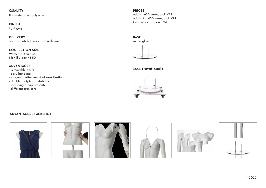**QUALITY** fibre-reinforced polyester

#### FINISH

light grey

DELIVERY approximately 1 week ; upon demand

#### CONFECTION SIZE

Women EU size 36 Men EU size 48-50

#### ADVANTAGES

- removable parts
- easy handling
- magnetic attachment of arm fixations
- double footpin for stability
- including a cap presenter
- different arm sets

PRICES adults : 630 euros, excl. VAT adults XL: 650 euros, excl. VAT kids : 455 euros, excl. VAT



BASE (rotational)



#### ADVANTAGES - PACKSHOT

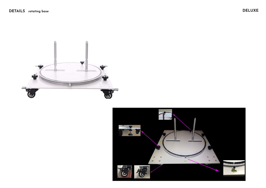